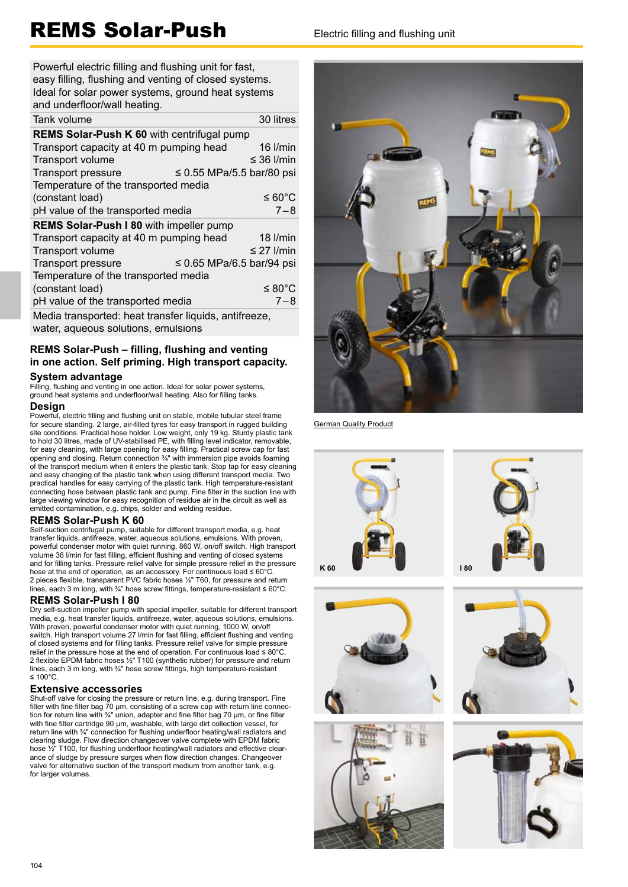# REMS Solar-Push Electric filling and flushing unit

Powerful electric filling and flushing unit for fast. easy filling, flushing and venting of closed systems. Ideal for solar power systems, ground heat systems and underfloor/wall heating.

| Tank volume                                                 | 30 litres         |  |  |  |
|-------------------------------------------------------------|-------------------|--|--|--|
| REMS Solar-Push K 60 with centrifugal pump                  |                   |  |  |  |
| Transport capacity at 40 m pumping head                     | 16 I/min          |  |  |  |
| Transport volume                                            | $\leq$ 36 I/min   |  |  |  |
| <b>Transport pressure</b><br>$\leq$ 0.55 MPa/5.5 bar/80 psi |                   |  |  |  |
| Temperature of the transported media                        |                   |  |  |  |
| (constant load)                                             | ≤ 60 $^{\circ}$ C |  |  |  |
| pH value of the transported media                           | $7 - 8$           |  |  |  |
| REMS Solar-Push I 80 with impeller pump                     |                   |  |  |  |
| Transport capacity at 40 m pumping head                     | $18$ $l/min$      |  |  |  |
| Transport volume                                            | $\leq$ 27 I/min   |  |  |  |
| $\leq$ 0.65 MPa/6.5 bar/94 psi<br><b>Transport pressure</b> |                   |  |  |  |
| Temperature of the transported media                        |                   |  |  |  |
| (constant load)                                             | ≤ 80 $^{\circ}$ C |  |  |  |
| pH value of the transported media                           | $7 - 8$           |  |  |  |
| Media transported: heat transfer liquids antifreeze         |                   |  |  |  |

Media transported: heat transfer liquids, antifreeze, water, aqueous solutions, emulsions

### **REMS Solar-Push – filling, flushing and venting in one action. Self priming. High transport capacity.**

#### **System advantage**

Filling, flushing and venting in one action. Ideal for solar power systems, ground heat systems and underfloor/wall heating. Also for filling tanks.

### **Design**

Powerful, electric filling and flushing unit on stable, mobile tubular steel frame for secure standing. 2 large, air-filled tyres for easy transport in rugged building site conditions. Practical hose holder. Low weight, only 19 kg. Sturdy plastic tank to hold 30 litres, made of UV-stabilised PE, with filling level indicator, removable, for easy cleaning, with large opening for easy filling. Practical screw cap for fast opening and closing. Return connection ¾" with immersion pipe avoids foaming of the transport medium when it enters the plastic tank. Stop tap for easy cleaning and easy changing of the plastic tank when using different transport media. Two practical handles for easy carrying of the plastic tank. High temperature-resistant connecting hose between plastic tank and pump. Fine filter in the suction line with large viewing window for easy recognition of residue air in the circuit as well as emitted contamination, e.g. chips, solder and welding residue.

#### **REMS Solar-Push K 60**

Self-suction centrifugal pump, suitable for different transport media, e.g. heat transfer liquids, antifreeze, water, aqueous solutions, emulsions. With proven, powerful condenser motor with quiet running, 860 W, on/off switch. High transport volume 36 l/min for fast filling, efficient flushing and venting of closed systems and for filling tanks. Pressure relief valve for simple pressure relief in the pressure hose at the end of operation, as an accessory. For continuous load ≤ 60°C. 2 pieces flexible, transparent PVC fabric hoses <sup>1</sup>/<sub>2</sub>" T60, for pressure and return lines, each 3 m long, with ¾" hose screw fittings, temperature-resistant ≤ 60°C.

#### **REMS Solar-Push I 80**

Dry self-suction impeller pump with special impeller, suitable for different transport media, e.g. heat transfer liquids, antifreeze, water, aqueous solutions, emulsions. With proven, powerful condenser motor with quiet running, 1000 W, on/off switch. High transport volume 27 I/min for fast filling, efficient flushing and venting of closed systems and for filling tanks. Pressure relief valve for simple pressure relief in the pressure hose at the end of operation. For continuous load  $\leq 80^{\circ}$ C. 2 flexible EPDM fabric hoses 1/2" T100 (synthetic rubber) for pressure and return lines, each 3 m long, with <sup>3/4</sup> hose screw fittings, high temperature-resistant ≤ 100°C.

#### **Extensive accessories**

Shut-off valve for closing the pressure or return line, e.g. during transport. Fine filter with fine filter bag 70  $\mu$ m, consisting of a screw cap with return line connection for return line with 3/4" union, adapter and fine filter bag 70 µm, or fine filter with fine filter cartridge 90 μm, washable, with large dirt collection vessel, for return line with 3/4" connection for flushing underfloor heating/wall radiators and clearing sludge. Flow direction changeover valve complete with EPDM fabric hose 1/2" T100, for flushing underfloor heating/wall radiators and effective clearance of sludge by pressure surges when flow direction changes. Changeover valve for alternative suction of the transport medium from another tank, e.g. for larger volumes.



German Quality Product